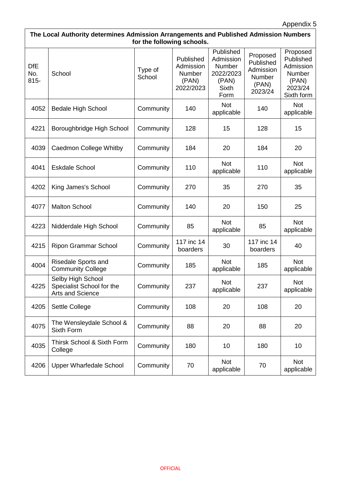| The Local Authority determines Admission Arrangements and Published Admission Numbers<br>for the following schools. |                                                                           |                   |                                                        |                                                                                |                                                                  |                                                                                |  |
|---------------------------------------------------------------------------------------------------------------------|---------------------------------------------------------------------------|-------------------|--------------------------------------------------------|--------------------------------------------------------------------------------|------------------------------------------------------------------|--------------------------------------------------------------------------------|--|
| <b>DfE</b><br>No.<br>$815 -$                                                                                        | School                                                                    | Type of<br>School | Published<br>Admission<br>Number<br>(PAN)<br>2022/2023 | Published<br>Admission<br>Number<br>2022/2023<br>(PAN)<br><b>Sixth</b><br>Form | Proposed<br>Published<br>Admission<br>Number<br>(PAN)<br>2023/24 | Proposed<br>Published<br>Admission<br>Number<br>(PAN)<br>2023/24<br>Sixth form |  |
| 4052                                                                                                                | <b>Bedale High School</b>                                                 | Community         | 140                                                    | <b>Not</b><br>applicable                                                       | 140                                                              | <b>Not</b><br>applicable                                                       |  |
| 4221                                                                                                                | Boroughbridge High School                                                 | Community         | 128                                                    | 15                                                                             | 128                                                              | 15                                                                             |  |
| 4039                                                                                                                | <b>Caedmon College Whitby</b>                                             | Community         | 184                                                    | 20                                                                             | 184                                                              | 20                                                                             |  |
| 4041                                                                                                                | <b>Eskdale School</b>                                                     | Community         | 110                                                    | <b>Not</b><br>applicable                                                       | 110                                                              | <b>Not</b><br>applicable                                                       |  |
| 4202                                                                                                                | King James's School                                                       | Community         | 270                                                    | 35                                                                             | 270                                                              | 35                                                                             |  |
| 4077                                                                                                                | <b>Malton School</b>                                                      | Community         | 140                                                    | 20                                                                             | 150                                                              | 25                                                                             |  |
| 4223                                                                                                                | Nidderdale High School                                                    | Community         | 85                                                     | <b>Not</b><br>applicable                                                       | 85                                                               | Not<br>applicable                                                              |  |
| 4215                                                                                                                | <b>Ripon Grammar School</b>                                               | Community         | 117 inc 14<br>boarders                                 | 30                                                                             | 117 inc 14<br>boarders                                           | 40                                                                             |  |
| 4004                                                                                                                | Risedale Sports and<br><b>Community College</b>                           | Community         | 185                                                    | <b>Not</b><br>applicable                                                       | 185                                                              | <b>Not</b><br>applicable                                                       |  |
| 4225                                                                                                                | Selby High School<br>Specialist School for the<br><b>Arts and Science</b> | Community         | 237                                                    | <b>Not</b><br>applicable                                                       | 237                                                              | <b>Not</b><br>applicable                                                       |  |
| 4205                                                                                                                | Settle College                                                            | Community         | 108                                                    | 20                                                                             | 108                                                              | 20                                                                             |  |
| 4075                                                                                                                | The Wensleydale School &<br>Sixth Form                                    | Community         | 88                                                     | 20                                                                             | 88                                                               | 20                                                                             |  |
| 4035                                                                                                                | Thirsk School & Sixth Form<br>College                                     | Community         | 180                                                    | 10                                                                             | 180                                                              | 10                                                                             |  |
| 4206                                                                                                                | <b>Upper Wharfedale School</b>                                            | Community         | 70                                                     | <b>Not</b><br>applicable                                                       | 70                                                               | <b>Not</b><br>applicable                                                       |  |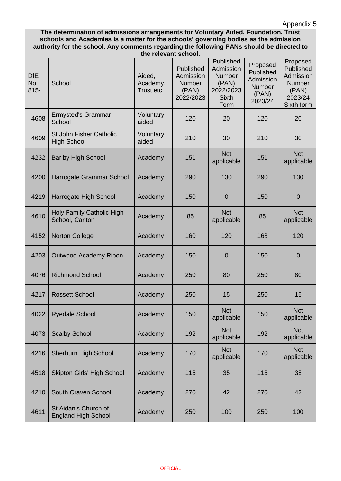## Appendix 5

**The determination of admissions arrangements for Voluntary Aided, Foundation, Trust schools and Academies is a matter for the schools' governing bodies as the admission authority for the school. Any comments regarding the following PANs should be directed to the relevant school.**

| <b>DfE</b><br>No.<br>$815 -$ | School                                             | Aided,<br>Academy,<br>Trust etc | Published<br>Admission<br><b>Number</b><br>(PAN)<br>2022/2023 | Published<br>Admission<br><b>Number</b><br>(PAN)<br>2022/2023<br><b>Sixth</b><br>Form | Proposed<br>Published<br>Admission<br><b>Number</b><br>(PAN)<br>2023/24 | Proposed<br>Published<br>Admission<br><b>Number</b><br>(PAN)<br>2023/24<br>Sixth form |
|------------------------------|----------------------------------------------------|---------------------------------|---------------------------------------------------------------|---------------------------------------------------------------------------------------|-------------------------------------------------------------------------|---------------------------------------------------------------------------------------|
| 4608                         | <b>Ermysted's Grammar</b><br>School                | Voluntary<br>aided              | 120                                                           | 20                                                                                    | 120                                                                     | 20                                                                                    |
| 4609                         | St John Fisher Catholic<br><b>High School</b>      | Voluntary<br>aided              | 210                                                           | 30                                                                                    | 210                                                                     | 30                                                                                    |
| 4232                         | <b>Barlby High School</b>                          | Academy                         | 151                                                           | <b>Not</b><br>applicable                                                              | 151                                                                     | <b>Not</b><br>applicable                                                              |
| 4200                         | Harrogate Grammar School                           | Academy                         | 290                                                           | 130                                                                                   | 290                                                                     | 130                                                                                   |
| 4219                         | Harrogate High School                              | Academy                         | 150                                                           | $\overline{0}$                                                                        | 150                                                                     | $\overline{0}$                                                                        |
| 4610                         | Holy Family Catholic High<br>School, Carlton       | Academy                         | 85                                                            | <b>Not</b><br>applicable                                                              | 85                                                                      | <b>Not</b><br>applicable                                                              |
| 4152                         | <b>Norton College</b>                              | Academy                         | 160                                                           | 120                                                                                   | 168                                                                     | 120                                                                                   |
| 4203                         | Outwood Academy Ripon                              | Academy                         | 150                                                           | $\overline{0}$                                                                        | 150                                                                     | $\overline{0}$                                                                        |
| 4076                         | <b>Richmond School</b>                             | Academy                         | 250                                                           | 80                                                                                    | 250                                                                     | 80                                                                                    |
| 4217                         | <b>Rossett School</b>                              | Academy                         | 250                                                           | 15                                                                                    | 250                                                                     | 15                                                                                    |
| 4022                         | <b>Ryedale School</b>                              | Academy                         | 150                                                           | <b>Not</b><br>applicable                                                              | 150                                                                     | <b>Not</b><br>applicable                                                              |
| 4073                         | <b>Scalby School</b>                               | Academy                         | 192                                                           | <b>Not</b><br>applicable                                                              | 192                                                                     | <b>Not</b><br>applicable                                                              |
| 4216                         | Sherburn High School                               | Academy                         | 170                                                           | <b>Not</b><br>applicable                                                              | 170                                                                     | <b>Not</b><br>applicable                                                              |
| 4518                         | <b>Skipton Girls' High School</b>                  | Academy                         | 116                                                           | 35                                                                                    | 116                                                                     | 35                                                                                    |
| 4210                         | South Craven School                                | Academy                         | 270                                                           | 42                                                                                    | 270                                                                     | 42                                                                                    |
| 4611                         | St Aidan's Church of<br><b>England High School</b> | Academy                         | 250                                                           | 100                                                                                   | 250                                                                     | 100                                                                                   |